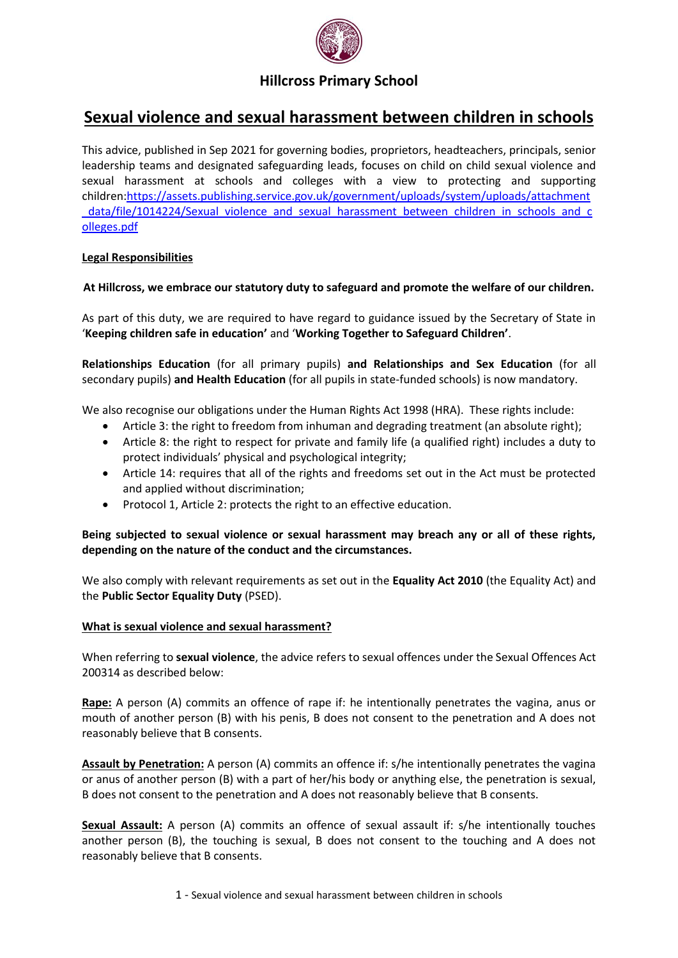

# **Sexual violence and sexual harassment between children in schools**

This advice, published in Sep 2021 for governing bodies, proprietors, headteachers, principals, senior leadership teams and designated safeguarding leads, focuses on child on child sexual violence and sexual harassment at schools and colleges with a view to protecting and supporting children[:https://assets.publishing.service.gov.uk/government/uploads/system/uploads/attachment](https://assets.publishing.service.gov.uk/government/uploads/system/uploads/attachment_data/file/1014224/Sexual_violence_and_sexual_harassment_between_children_in_schools_and_colleges.pdf) data/file/1014224/Sexual\_violence\_and\_sexual\_harassment\_between\_children\_in\_schools\_and\_c [olleges.pdf](https://assets.publishing.service.gov.uk/government/uploads/system/uploads/attachment_data/file/1014224/Sexual_violence_and_sexual_harassment_between_children_in_schools_and_colleges.pdf)

### **Legal Responsibilities**

### **At Hillcross, we embrace our statutory duty to safeguard and promote the welfare of our children.**

As part of this duty, we are required to have regard to guidance issued by the Secretary of State in '**Keeping children safe in education'** and '**Working Together to Safeguard Children'**.

**Relationships Education** (for all primary pupils) **and Relationships and Sex Education** (for all secondary pupils) **and Health Education** (for all pupils in state-funded schools) is now mandatory.

We also recognise our obligations under the Human Rights Act 1998 (HRA). These rights include:

- Article 3: the right to freedom from inhuman and degrading treatment (an absolute right);
- Article 8: the right to respect for private and family life (a qualified right) includes a duty to protect individuals' physical and psychological integrity;
- Article 14: requires that all of the rights and freedoms set out in the Act must be protected and applied without discrimination;
- Protocol 1, Article 2: protects the right to an effective education.

### **Being subjected to sexual violence or sexual harassment may breach any or all of these rights, depending on the nature of the conduct and the circumstances.**

We also comply with relevant requirements as set out in the **Equality Act 2010** (the Equality Act) and the **Public Sector Equality Duty** (PSED).

### **What is sexual violence and sexual harassment?**

When referring to **sexual violence**, the advice refers to sexual offences under the Sexual Offences Act 200314 as described below:

**Rape:** A person (A) commits an offence of rape if: he intentionally penetrates the vagina, anus or mouth of another person (B) with his penis, B does not consent to the penetration and A does not reasonably believe that B consents.

**Assault by Penetration:** A person (A) commits an offence if: s/he intentionally penetrates the vagina or anus of another person (B) with a part of her/his body or anything else, the penetration is sexual, B does not consent to the penetration and A does not reasonably believe that B consents.

**Sexual Assault:** A person (A) commits an offence of sexual assault if: s/he intentionally touches another person (B), the touching is sexual, B does not consent to the touching and A does not reasonably believe that B consents.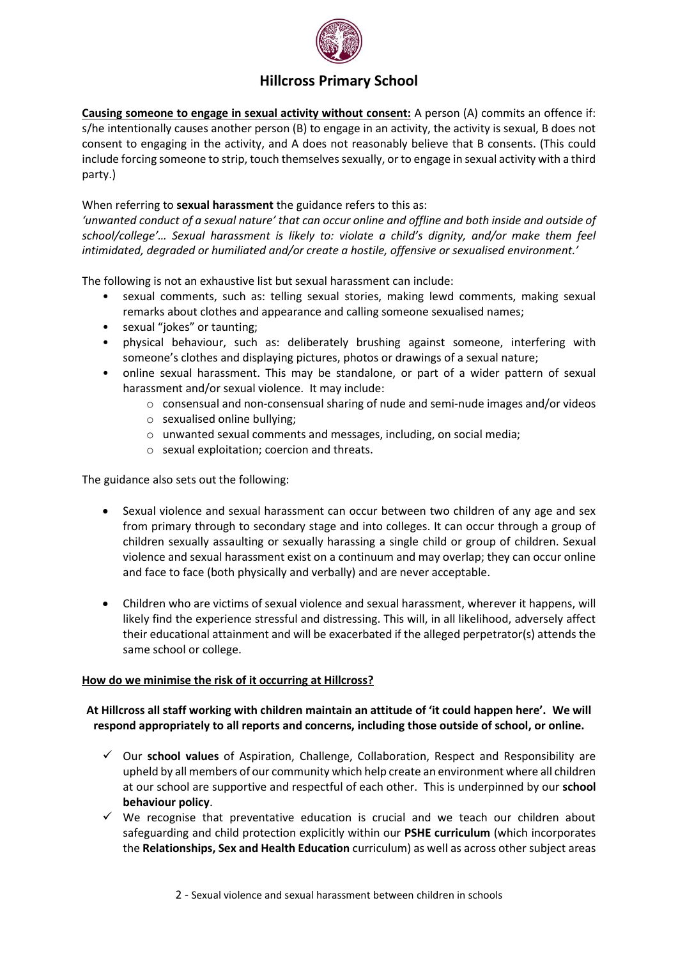

**Causing someone to engage in sexual activity without consent:** A person (A) commits an offence if: s/he intentionally causes another person (B) to engage in an activity, the activity is sexual, B does not consent to engaging in the activity, and A does not reasonably believe that B consents. (This could include forcing someone to strip, touch themselves sexually, or to engage in sexual activity with a third party.)

### When referring to **sexual harassment** the guidance refers to this as:

*'unwanted conduct of a sexual nature' that can occur online and offline and both inside and outside of school/college'… Sexual harassment is likely to: violate a child's dignity, and/or make them feel intimidated, degraded or humiliated and/or create a hostile, offensive or sexualised environment.'* 

The following is not an exhaustive list but sexual harassment can include:

- sexual comments, such as: telling sexual stories, making lewd comments, making sexual remarks about clothes and appearance and calling someone sexualised names;
- sexual "jokes" or taunting;
- physical behaviour, such as: deliberately brushing against someone, interfering with someone's clothes and displaying pictures, photos or drawings of a sexual nature;
- online sexual harassment. This may be standalone, or part of a wider pattern of sexual harassment and/or sexual violence. It may include:
	- $\circ$  consensual and non-consensual sharing of nude and semi-nude images and/or videos
	- o sexualised online bullying;
	- o unwanted sexual comments and messages, including, on social media;
	- o sexual exploitation; coercion and threats.

The guidance also sets out the following:

- Sexual violence and sexual harassment can occur between two children of any age and sex from primary through to secondary stage and into colleges. It can occur through a group of children sexually assaulting or sexually harassing a single child or group of children. Sexual violence and sexual harassment exist on a continuum and may overlap; they can occur online and face to face (both physically and verbally) and are never acceptable.
- Children who are victims of sexual violence and sexual harassment, wherever it happens, will likely find the experience stressful and distressing. This will, in all likelihood, adversely affect their educational attainment and will be exacerbated if the alleged perpetrator(s) attends the same school or college.

### **How do we minimise the risk of it occurring at Hillcross?**

### **At Hillcross all staff working with children maintain an attitude of 'it could happen here'. We will respond appropriately to all reports and concerns, including those outside of school, or online.**

- Our **school values** of Aspiration, Challenge, Collaboration, Respect and Responsibility are upheld by all members of our community which help create an environment where all children at our school are supportive and respectful of each other. This is underpinned by our **school behaviour policy**.
- $\checkmark$  We recognise that preventative education is crucial and we teach our children about safeguarding and child protection explicitly within our **PSHE curriculum** (which incorporates the **Relationships, Sex and Health Education** curriculum) as well as across other subject areas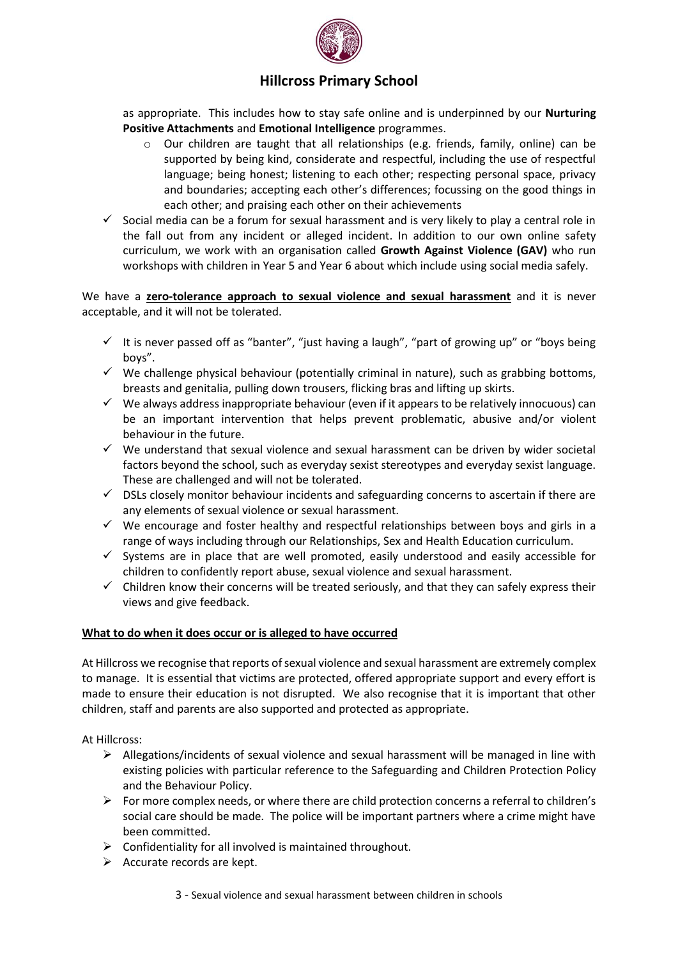

as appropriate. This includes how to stay safe online and is underpinned by our **Nurturing Positive Attachments** and **Emotional Intelligence** programmes.

- $\circ$  Our children are taught that all relationships (e.g. friends, family, online) can be supported by being kind, considerate and respectful, including the use of respectful language; being honest; listening to each other; respecting personal space, privacy and boundaries; accepting each other's differences; focussing on the good things in each other; and praising each other on their achievements
- $\checkmark$  Social media can be a forum for sexual harassment and is very likely to play a central role in the fall out from any incident or alleged incident. In addition to our own online safety curriculum, we work with an organisation called **Growth Against Violence (GAV)** who run workshops with children in Year 5 and Year 6 about which include using social media safely.

We have a **zero-tolerance approach to sexual violence and sexual harassment** and it is never acceptable, and it will not be tolerated.

- It is never passed off as "banter", "just having a laugh", "part of growing up" or "boys being boys".
- $\checkmark$  We challenge physical behaviour (potentially criminal in nature), such as grabbing bottoms, breasts and genitalia, pulling down trousers, flicking bras and lifting up skirts.
- $\checkmark$  We always address inappropriate behaviour (even if it appears to be relatively innocuous) can be an important intervention that helps prevent problematic, abusive and/or violent behaviour in the future.
- $\checkmark$  We understand that sexual violence and sexual harassment can be driven by wider societal factors beyond the school, such as everyday sexist stereotypes and everyday sexist language. These are challenged and will not be tolerated.
- $\checkmark$  DSLs closely monitor behaviour incidents and safeguarding concerns to ascertain if there are any elements of sexual violence or sexual harassment.
- $\checkmark$  We encourage and foster healthy and respectful relationships between boys and girls in a range of ways including through our Relationships, Sex and Health Education curriculum.
- $\checkmark$  Systems are in place that are well promoted, easily understood and easily accessible for children to confidently report abuse, sexual violence and sexual harassment.
- $\checkmark$  Children know their concerns will be treated seriously, and that they can safely express their views and give feedback.

### **What to do when it does occur or is alleged to have occurred**

At Hillcross we recognise that reports of sexual violence and sexual harassment are extremely complex to manage. It is essential that victims are protected, offered appropriate support and every effort is made to ensure their education is not disrupted. We also recognise that it is important that other children, staff and parents are also supported and protected as appropriate.

At Hillcross:

- $\triangleright$  Allegations/incidents of sexual violence and sexual harassment will be managed in line with existing policies with particular reference to the Safeguarding and Children Protection Policy and the Behaviour Policy.
- $\triangleright$  For more complex needs, or where there are child protection concerns a referral to children's social care should be made. The police will be important partners where a crime might have been committed.
- $\triangleright$  Confidentiality for all involved is maintained throughout.
- $\triangleright$  Accurate records are kept.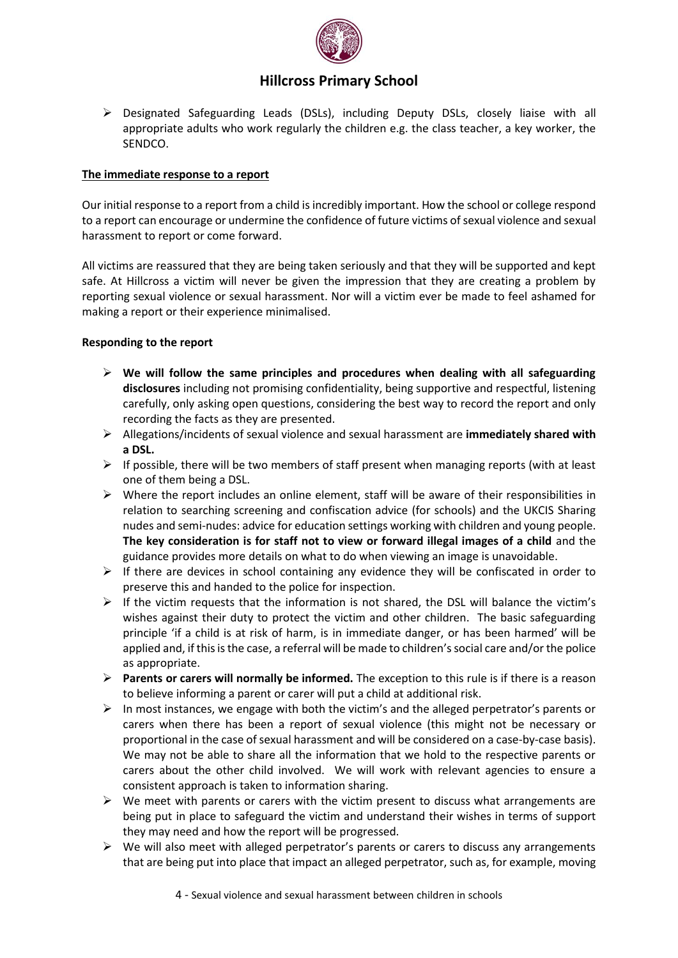

 Designated Safeguarding Leads (DSLs), including Deputy DSLs, closely liaise with all appropriate adults who work regularly the children e.g. the class teacher, a key worker, the SENDCO.

### **The immediate response to a report**

Our initial response to a report from a child is incredibly important. How the school or college respond to a report can encourage or undermine the confidence of future victims of sexual violence and sexual harassment to report or come forward.

All victims are reassured that they are being taken seriously and that they will be supported and kept safe. At Hillcross a victim will never be given the impression that they are creating a problem by reporting sexual violence or sexual harassment. Nor will a victim ever be made to feel ashamed for making a report or their experience minimalised.

### **Responding to the report**

- **We will follow the same principles and procedures when dealing with all safeguarding disclosures** including not promising confidentiality, being supportive and respectful, listening carefully, only asking open questions, considering the best way to record the report and only recording the facts as they are presented.
- Allegations/incidents of sexual violence and sexual harassment are **immediately shared with a DSL.**
- $\triangleright$  If possible, there will be two members of staff present when managing reports (with at least one of them being a DSL.
- $\triangleright$  Where the report includes an online element, staff will be aware of their responsibilities in relation to searching screening and confiscation advice (for schools) and the UKCIS Sharing nudes and semi-nudes: advice for education settings working with children and young people. **The key consideration is for staff not to view or forward illegal images of a child** and the guidance provides more details on what to do when viewing an image is unavoidable.
- $\triangleright$  If there are devices in school containing any evidence they will be confiscated in order to preserve this and handed to the police for inspection.
- $\triangleright$  If the victim requests that the information is not shared, the DSL will balance the victim's wishes against their duty to protect the victim and other children. The basic safeguarding principle 'if a child is at risk of harm, is in immediate danger, or has been harmed' will be applied and, if this is the case, a referral will be made to children's social care and/or the police as appropriate.
- **Parents or carers will normally be informed.** The exception to this rule is if there is a reason to believe informing a parent or carer will put a child at additional risk.
- $\triangleright$  In most instances, we engage with both the victim's and the alleged perpetrator's parents or carers when there has been a report of sexual violence (this might not be necessary or proportional in the case of sexual harassment and will be considered on a case-by-case basis). We may not be able to share all the information that we hold to the respective parents or carers about the other child involved. We will work with relevant agencies to ensure a consistent approach is taken to information sharing.
- $\triangleright$  We meet with parents or carers with the victim present to discuss what arrangements are being put in place to safeguard the victim and understand their wishes in terms of support they may need and how the report will be progressed.
- $\triangleright$  We will also meet with alleged perpetrator's parents or carers to discuss any arrangements that are being put into place that impact an alleged perpetrator, such as, for example, moving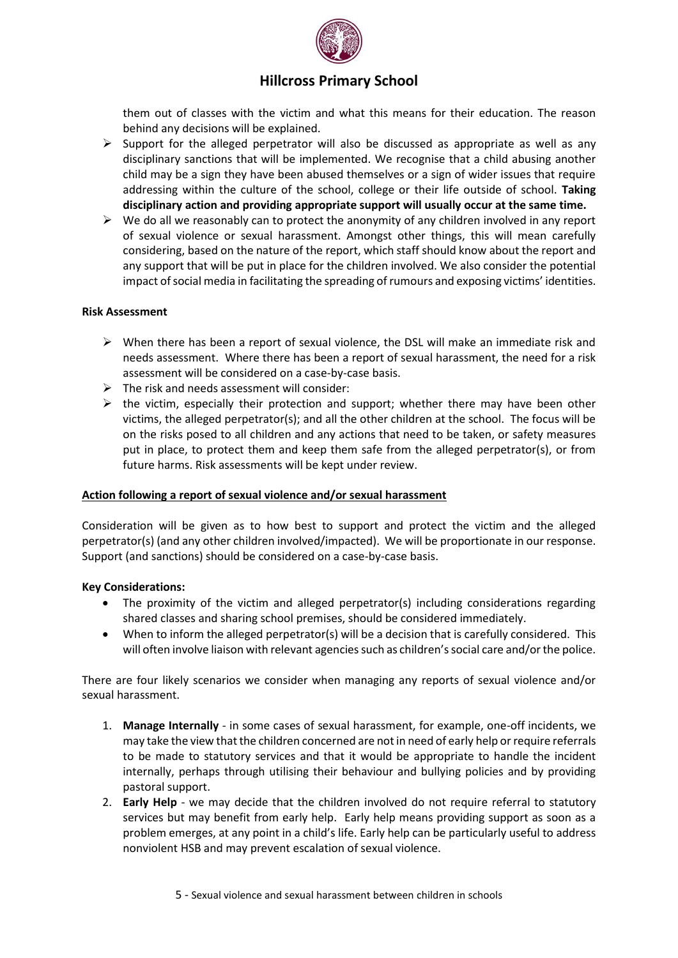

them out of classes with the victim and what this means for their education. The reason behind any decisions will be explained.

- $\triangleright$  Support for the alleged perpetrator will also be discussed as appropriate as well as any disciplinary sanctions that will be implemented. We recognise that a child abusing another child may be a sign they have been abused themselves or a sign of wider issues that require addressing within the culture of the school, college or their life outside of school. **Taking disciplinary action and providing appropriate support will usually occur at the same time.**
- $\triangleright$  We do all we reasonably can to protect the anonymity of any children involved in any report of sexual violence or sexual harassment. Amongst other things, this will mean carefully considering, based on the nature of the report, which staff should know about the report and any support that will be put in place for the children involved. We also consider the potential impact of social media in facilitating the spreading of rumours and exposing victims' identities.

### **Risk Assessment**

- $\triangleright$  When there has been a report of sexual violence, the DSL will make an immediate risk and needs assessment. Where there has been a report of sexual harassment, the need for a risk assessment will be considered on a case-by-case basis.
- $\triangleright$  The risk and needs assessment will consider:
- $\triangleright$  the victim, especially their protection and support; whether there may have been other victims, the alleged perpetrator(s); and all the other children at the school. The focus will be on the risks posed to all children and any actions that need to be taken, or safety measures put in place, to protect them and keep them safe from the alleged perpetrator(s), or from future harms. Risk assessments will be kept under review.

### **Action following a report of sexual violence and/or sexual harassment**

Consideration will be given as to how best to support and protect the victim and the alleged perpetrator(s) (and any other children involved/impacted). We will be proportionate in our response. Support (and sanctions) should be considered on a case-by-case basis.

### **Key Considerations:**

- The proximity of the victim and alleged perpetrator(s) including considerations regarding shared classes and sharing school premises, should be considered immediately.
- When to inform the alleged perpetrator(s) will be a decision that is carefully considered. This will often involve liaison with relevant agencies such as children's social care and/or the police.

There are four likely scenarios we consider when managing any reports of sexual violence and/or sexual harassment.

- 1. **Manage Internally** in some cases of sexual harassment, for example, one-off incidents, we may take the view that the children concerned are not in need of early help or require referrals to be made to statutory services and that it would be appropriate to handle the incident internally, perhaps through utilising their behaviour and bullying policies and by providing pastoral support.
- 2. **Early Help**  we may decide that the children involved do not require referral to statutory services but may benefit from early help. Early help means providing support as soon as a problem emerges, at any point in a child's life. Early help can be particularly useful to address nonviolent HSB and may prevent escalation of sexual violence.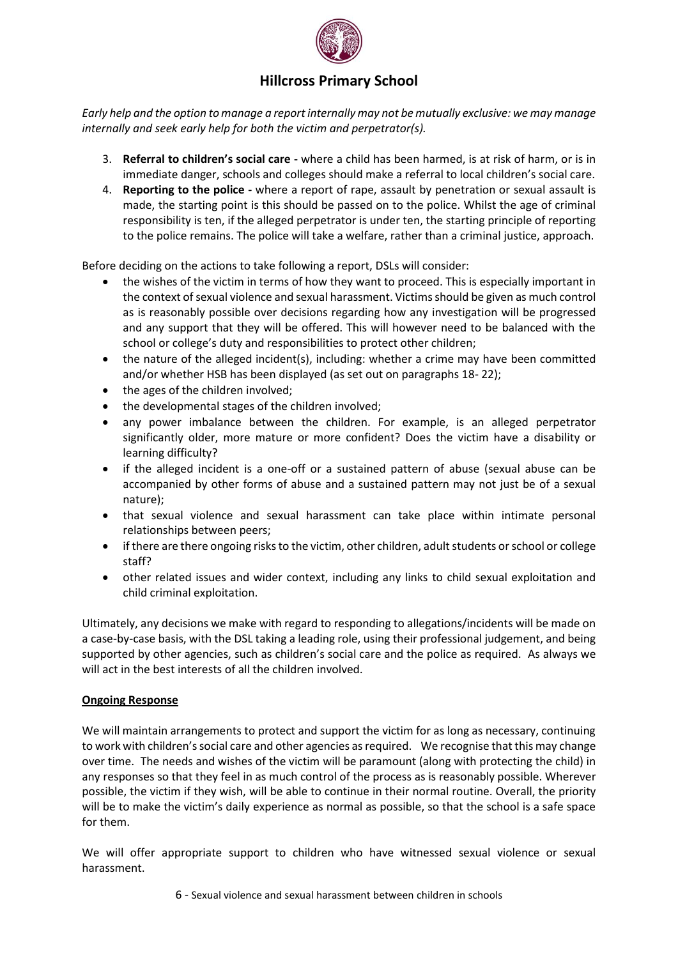

*Early help and the option to manage a report internally may not be mutually exclusive: we may manage internally and seek early help for both the victim and perpetrator(s).*

- 3. **Referral to children's social care -** where a child has been harmed, is at risk of harm, or is in immediate danger, schools and colleges should make a referral to local children's social care.
- 4. **Reporting to the police -** where a report of rape, assault by penetration or sexual assault is made, the starting point is this should be passed on to the police. Whilst the age of criminal responsibility is ten, if the alleged perpetrator is under ten, the starting principle of reporting to the police remains. The police will take a welfare, rather than a criminal justice, approach.

Before deciding on the actions to take following a report, DSLs will consider:

- the wishes of the victim in terms of how they want to proceed. This is especially important in the context of sexual violence and sexual harassment. Victims should be given as much control as is reasonably possible over decisions regarding how any investigation will be progressed and any support that they will be offered. This will however need to be balanced with the school or college's duty and responsibilities to protect other children;
- the nature of the alleged incident(s), including: whether a crime may have been committed and/or whether HSB has been displayed (as set out on paragraphs 18- 22);
- the ages of the children involved;
- the developmental stages of the children involved;
- any power imbalance between the children. For example, is an alleged perpetrator significantly older, more mature or more confident? Does the victim have a disability or learning difficulty?
- if the alleged incident is a one-off or a sustained pattern of abuse (sexual abuse can be accompanied by other forms of abuse and a sustained pattern may not just be of a sexual nature);
- that sexual violence and sexual harassment can take place within intimate personal relationships between peers;
- if there are there ongoing risks to the victim, other children, adult students or school or college staff?
- other related issues and wider context, including any links to child sexual exploitation and child criminal exploitation.

Ultimately, any decisions we make with regard to responding to allegations/incidents will be made on a case-by-case basis, with the DSL taking a leading role, using their professional judgement, and being supported by other agencies, such as children's social care and the police as required. As always we will act in the best interests of all the children involved.

### **Ongoing Response**

We will maintain arrangements to protect and support the victim for as long as necessary, continuing to work with children's social care and other agencies as required. We recognise that this may change over time. The needs and wishes of the victim will be paramount (along with protecting the child) in any responses so that they feel in as much control of the process as is reasonably possible. Wherever possible, the victim if they wish, will be able to continue in their normal routine. Overall, the priority will be to make the victim's daily experience as normal as possible, so that the school is a safe space for them.

We will offer appropriate support to children who have witnessed sexual violence or sexual harassment.